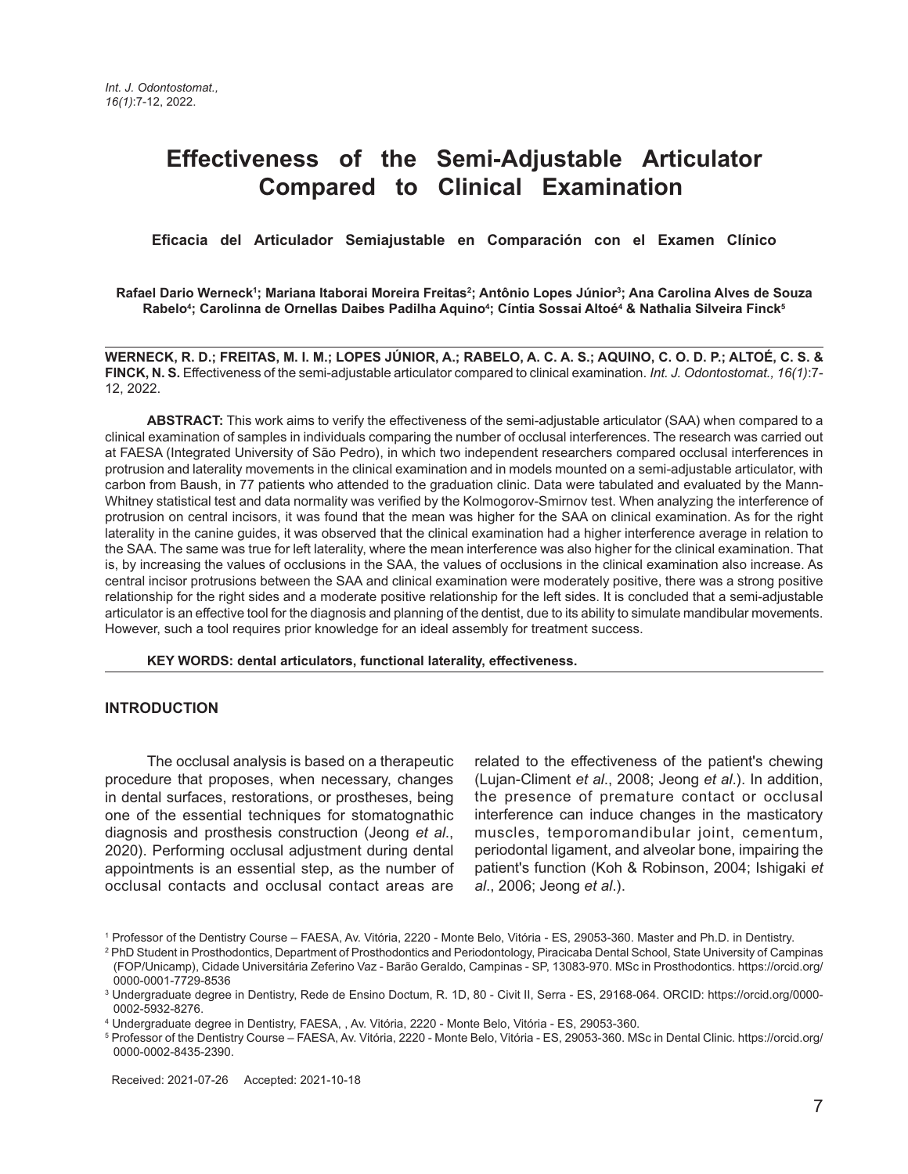# **Effectiveness of the Semi-Adjustable Articulator Compared to Clinical Examination**

 **Eficacia del Articulador Semiajustable en Comparación con el Examen Clínico**

**Rafael Dario Werneck1 ; Mariana Itaborai Moreira Freitas2 ; Antônio Lopes Júnior3 ; Ana Carolina Alves de Souza** Rabelo<sup>4</sup>; Carolinna de Ornellas Daibes Padilha Aquino<sup>4</sup>; Cíntia Sossai Altoé<sup>4</sup> & Nathalia Silveira Finck<sup>s</sup>

**WERNECK, R. D.; FREITAS, M. I. M.; LOPES JÚNIOR, A.; RABELO, A. C. A. S.; AQUINO, C. O. D. P.; ALTOÉ, C. S. & FINCK, N. S.** Effectiveness of the semi-adjustable articulator compared to clinical examination. *Int. J. Odontostomat., 16(1)*:7- 12, 2022.

**ABSTRACT:** This work aims to verify the effectiveness of the semi-adjustable articulator (SAA) when compared to a clinical examination of samples in individuals comparing the number of occlusal interferences. The research was carried out at FAESA (Integrated University of São Pedro), in which two independent researchers compared occlusal interferences in protrusion and laterality movements in the clinical examination and in models mounted on a semi-adjustable articulator, with carbon from Baush, in 77 patients who attended to the graduation clinic. Data were tabulated and evaluated by the Mann-Whitney statistical test and data normality was verified by the Kolmogorov-Smirnov test. When analyzing the interference of protrusion on central incisors, it was found that the mean was higher for the SAA on clinical examination. As for the right laterality in the canine guides, it was observed that the clinical examination had a higher interference average in relation to the SAA. The same was true for left laterality, where the mean interference was also higher for the clinical examination. That is, by increasing the values of occlusions in the SAA, the values of occlusions in the clinical examination also increase. As central incisor protrusions between the SAA and clinical examination were moderately positive, there was a strong positive relationship for the right sides and a moderate positive relationship for the left sides. It is concluded that a semi-adjustable articulator is an effective tool for the diagnosis and planning of the dentist, due to its ability to simulate mandibular movements. However, such a tool requires prior knowledge for an ideal assembly for treatment success.

**KEY WORDS: dental articulators, functional laterality, effectiveness.**

#### **INTRODUCTION**

The occlusal analysis is based on a therapeutic procedure that proposes, when necessary, changes in dental surfaces, restorations, or prostheses, being one of the essential techniques for stomatognathic diagnosis and prosthesis construction (Jeong *et al*., 2020). Performing occlusal adjustment during dental appointments is an essential step, as the number of occlusal contacts and occlusal contact areas are

related to the effectiveness of the patient's chewing (Lujan-Climent *et al*., 2008; Jeong *et al*.). In addition, the presence of premature contact or occlusal interference can induce changes in the masticatory muscles, temporomandibular joint, cementum, periodontal ligament, and alveolar bone, impairing the patient's function (Koh & Robinson, 2004; Ishigaki *et al*., 2006; Jeong *et al*.).

<sup>1</sup> Professor of the Dentistry Course – FAESA, Av. Vitória, 2220 - Monte Belo, Vitória - ES, 29053-360. Master and Ph.D. in Dentistry.

<sup>2</sup> PhD Student in Prosthodontics, Department of Prosthodontics and Periodontology, Piracicaba Dental School, State University of Campinas (FOP/Unicamp), Cidade Universitária Zeferino Vaz - Barão Geraldo, Campinas - SP, 13083-970. MSc in Prosthodontics. https://orcid.org/ 0000-0001-7729-8536

<sup>3</sup> Undergraduate degree in Dentistry, Rede de Ensino Doctum, R. 1D, 80 - Civit II, Serra - ES, 29168-064. ORCID: https://orcid.org/0000- 0002-5932-8276.

<sup>4</sup> Undergraduate degree in Dentistry, FAESA, , Av. Vitória, 2220 - Monte Belo, Vitória - ES, 29053-360.

<sup>5</sup> Professor of the Dentistry Course – FAESA, Av. Vitória, 2220 - Monte Belo, Vitória - ES, 29053-360. MSc in Dental Clinic. https://orcid.org/ 0000-0002-8435-2390.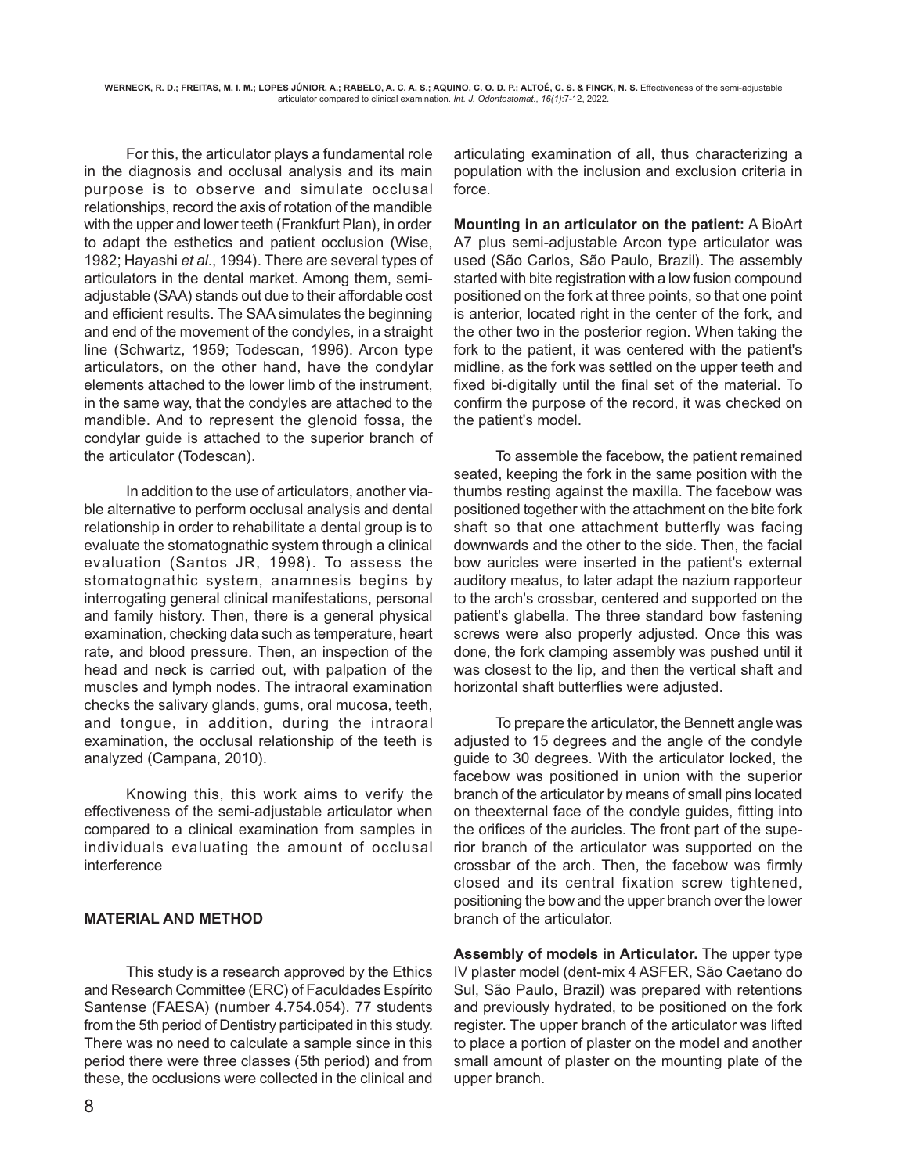For this, the articulator plays a fundamental role in the diagnosis and occlusal analysis and its main purpose is to observe and simulate occlusal relationships, record the axis of rotation of the mandible with the upper and lower teeth (Frankfurt Plan), in order to adapt the esthetics and patient occlusion (Wise, 1982; Hayashi *et al*., 1994). There are several types of articulators in the dental market. Among them, semiadjustable (SAA) stands out due to their affordable cost and efficient results. The SAA simulates the beginning and end of the movement of the condyles, in a straight line (Schwartz, 1959; Todescan, 1996). Arcon type articulators, on the other hand, have the condylar elements attached to the lower limb of the instrument, in the same way, that the condyles are attached to the mandible. And to represent the glenoid fossa, the condylar guide is attached to the superior branch of the articulator (Todescan).

In addition to the use of articulators, another viable alternative to perform occlusal analysis and dental relationship in order to rehabilitate a dental group is to evaluate the stomatognathic system through a clinical evaluation (Santos JR, 1998). To assess the stomatognathic system, anamnesis begins by interrogating general clinical manifestations, personal and family history. Then, there is a general physical examination, checking data such as temperature, heart rate, and blood pressure. Then, an inspection of the head and neck is carried out, with palpation of the muscles and lymph nodes. The intraoral examination checks the salivary glands, gums, oral mucosa, teeth, and tongue, in addition, during the intraoral examination, the occlusal relationship of the teeth is analyzed (Campana, 2010).

Knowing this, this work aims to verify the effectiveness of the semi-adjustable articulator when compared to a clinical examination from samples in individuals evaluating the amount of occlusal interference

## **MATERIAL AND METHOD**

This study is a research approved by the Ethics and Research Committee (ERC) of Faculdades Espírito Santense (FAESA) (number 4.754.054). 77 students from the 5th period of Dentistry participated in this study. There was no need to calculate a sample since in this period there were three classes (5th period) and from these, the occlusions were collected in the clinical and

articulating examination of all, thus characterizing a population with the inclusion and exclusion criteria in force.

**Mounting in an articulator on the patient:** A BioArt A7 plus semi-adjustable Arcon type articulator was used (São Carlos, São Paulo, Brazil). The assembly started with bite registration with a low fusion compound positioned on the fork at three points, so that one point is anterior, located right in the center of the fork, and the other two in the posterior region. When taking the fork to the patient, it was centered with the patient's midline, as the fork was settled on the upper teeth and fixed bi-digitally until the final set of the material. To confirm the purpose of the record, it was checked on the patient's model.

To assemble the facebow, the patient remained seated, keeping the fork in the same position with the thumbs resting against the maxilla. The facebow was positioned together with the attachment on the bite fork shaft so that one attachment butterfly was facing downwards and the other to the side. Then, the facial bow auricles were inserted in the patient's external auditory meatus, to later adapt the nazium rapporteur to the arch's crossbar, centered and supported on the patient's glabella. The three standard bow fastening screws were also properly adjusted. Once this was done, the fork clamping assembly was pushed until it was closest to the lip, and then the vertical shaft and horizontal shaft butterflies were adjusted.

To prepare the articulator, the Bennett angle was adjusted to 15 degrees and the angle of the condyle guide to 30 degrees. With the articulator locked, the facebow was positioned in union with the superior branch of the articulator by means of small pins located on theexternal face of the condyle guides, fitting into the orifices of the auricles. The front part of the superior branch of the articulator was supported on the crossbar of the arch. Then, the facebow was firmly closed and its central fixation screw tightened, positioning the bow and the upper branch over the lower branch of the articulator.

**Assembly of models in Articulator.** The upper type IV plaster model (dent-mix 4 ASFER, São Caetano do Sul, São Paulo, Brazil) was prepared with retentions and previously hydrated, to be positioned on the fork register. The upper branch of the articulator was lifted to place a portion of plaster on the model and another small amount of plaster on the mounting plate of the upper branch.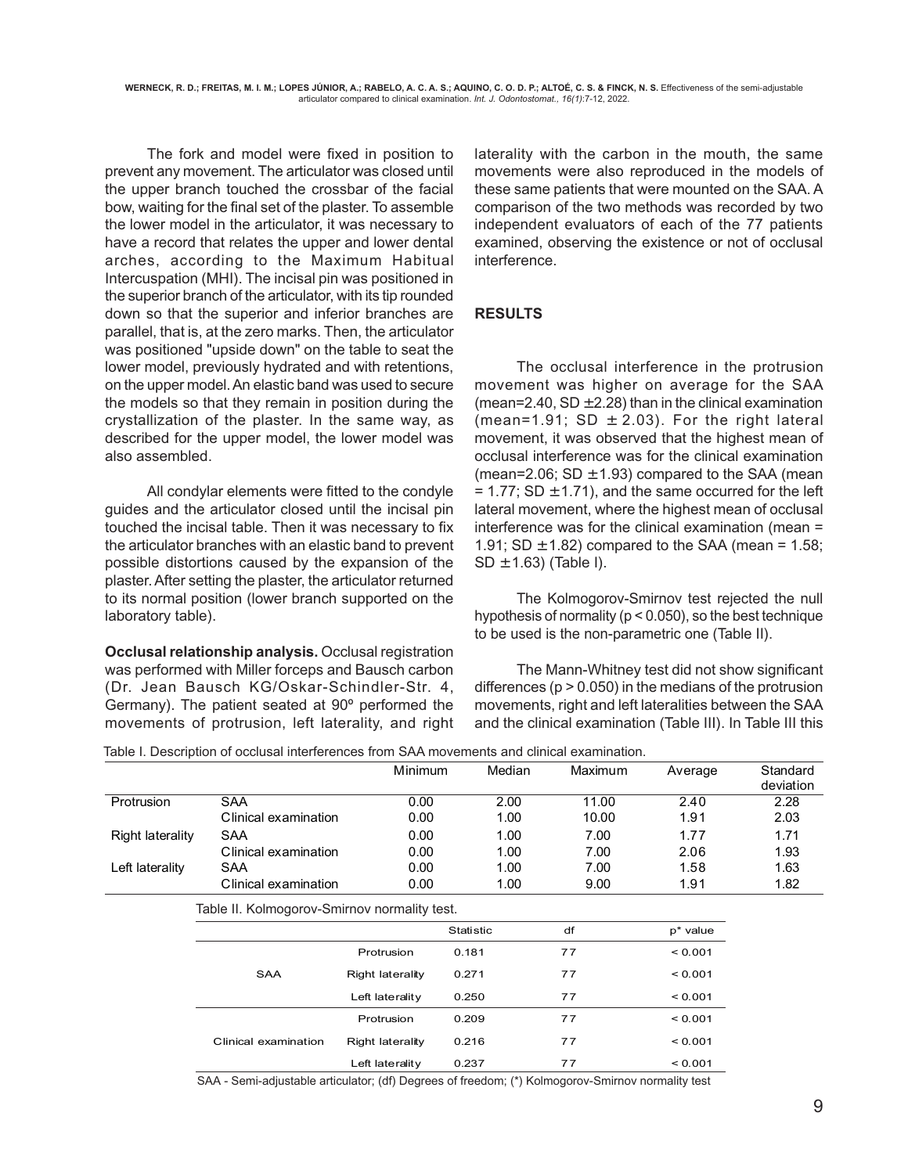The fork and model were fixed in position to prevent any movement. The articulator was closed until the upper branch touched the crossbar of the facial bow, waiting for the final set of the plaster. To assemble the lower model in the articulator, it was necessary to have a record that relates the upper and lower dental arches, according to the Maximum Habitual Intercuspation (MHI). The incisal pin was positioned in the superior branch of the articulator, with its tip rounded down so that the superior and inferior branches are parallel, that is, at the zero marks. Then, the articulator was positioned "upside down" on the table to seat the lower model, previously hydrated and with retentions, on the upper model. An elastic band was used to secure the models so that they remain in position during the crystallization of the plaster. In the same way, as described for the upper model, the lower model was also assembled.

All condylar elements were fitted to the condyle guides and the articulator closed until the incisal pin touched the incisal table. Then it was necessary to fix the articulator branches with an elastic band to prevent possible distortions caused by the expansion of the plaster. After setting the plaster, the articulator returned to its normal position (lower branch supported on the laboratory table).

**Occlusal relationship analysis.** Occlusal registration was performed with Miller forceps and Bausch carbon (Dr. Jean Bausch KG/Oskar-Schindler-Str. 4, Germany). The patient seated at 90º performed the movements of protrusion, left laterality, and right

laterality with the carbon in the mouth, the same movements were also reproduced in the models of these same patients that were mounted on the SAA. A comparison of the two methods was recorded by two independent evaluators of each of the 77 patients examined, observing the existence or not of occlusal interference.

## **RESULTS**

The occlusal interference in the protrusion movement was higher on average for the SAA (mean=2.40,  $SD \pm 2.28$ ) than in the clinical examination (mean=1.91; SD  $\pm$  2.03). For the right lateral movement, it was observed that the highest mean of occlusal interference was for the clinical examination (mean=2.06;  $SD \pm 1.93$ ) compared to the SAA (mean  $= 1.77$ ; SD  $\pm$  1.71), and the same occurred for the left lateral movement, where the highest mean of occlusal interference was for the clinical examination (mean = 1.91; SD  $\pm$  1.82) compared to the SAA (mean = 1.58;  $SD \pm 1.63$ ) (Table I).

The Kolmogorov-Smirnov test rejected the null hypothesis of normality ( $p < 0.050$ ), so the best technique to be used is the non-parametric one (Table II).

The Mann-Whitney test did not show significant differences ( $p > 0.050$ ) in the medians of the protrusion movements, right and left lateralities between the SAA and the clinical examination (Table III). In Table III this

Table I. Description of occlusal interferences from SAA movements and clinical examination.

| able i. Description of occideal interferences from OAA movements and cirrical examination. |                                              |                         |           |        |         |             |                       |
|--------------------------------------------------------------------------------------------|----------------------------------------------|-------------------------|-----------|--------|---------|-------------|-----------------------|
|                                                                                            |                                              | <b>Minimum</b>          |           | Median | Maximum | Average     | Standard<br>deviation |
| Protrusion                                                                                 | <b>SAA</b>                                   | 0.00                    |           | 2.00   | 11.00   | 2.40        | 2.28                  |
|                                                                                            | Clinical examination                         | 0.00                    |           | 1.00   | 10.00   | 1.91        | 2.03                  |
| <b>Right laterality</b>                                                                    | SAA                                          | 0.00                    |           | 1.00   | 7.00    | 1.77        | 1.71                  |
|                                                                                            | Clinical examination                         | 0.00                    |           | 1.00   | 7.00    | 2.06        | 1.93                  |
| Left laterality                                                                            | SAA                                          | 0.00                    |           | 1.00   | 7.00    | 1.58        | 1.63                  |
|                                                                                            | Clinical examination                         | 0.00                    |           | 1.00   | 9.00    | 1.91        | 1.82                  |
|                                                                                            | Table II. Kolmogorov-Smirnov normality test. |                         |           |        |         |             |                       |
|                                                                                            |                                              |                         | Statistic | df     |         | $p^*$ value |                       |
|                                                                                            |                                              | Protrusion              | 0.181     | 77     |         | < 0.001     |                       |
|                                                                                            | <b>SAA</b>                                   | <b>Right laterality</b> | 0.271     | 77     |         | < 0.001     |                       |
|                                                                                            |                                              | Left laterality         | 0.250     | 77     |         | < 0.001     |                       |
|                                                                                            |                                              | Protrusion              | 0.209     | 77     |         | < 0.001     |                       |
|                                                                                            | Clinical examination                         | <b>Right laterality</b> | 0.216     | 77     |         | < 0.001     |                       |
|                                                                                            |                                              | Left laterality         | 0.237     | 77     |         | < 0.001     |                       |
|                                                                                            |                                              |                         |           |        |         |             |                       |

SAA - Semi-adjustable articulator; (df) Degrees of freedom; (\*) Kolmogorov-Smirnov normality test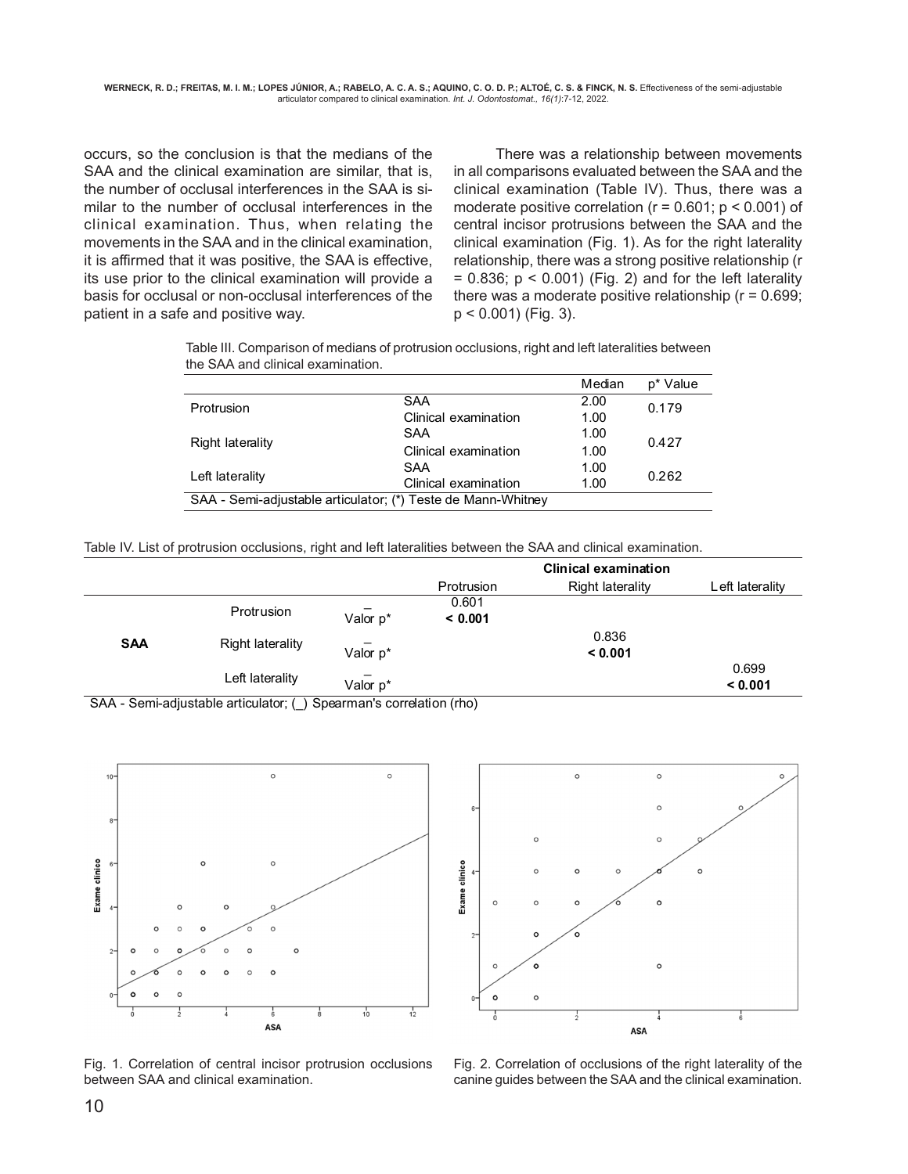occurs, so the conclusion is that the medians of the SAA and the clinical examination are similar, that is, the number of occlusal interferences in the SAA is similar to the number of occlusal interferences in the clinical examination. Thus, when relating the movements in the SAA and in the clinical examination, it is affirmed that it was positive, the SAA is effective, its use prior to the clinical examination will provide a basis for occlusal or non-occlusal interferences of the patient in a safe and positive way.

There was a relationship between movements in all comparisons evaluated between the SAA and the clinical examination (Table IV). Thus, there was a moderate positive correlation ( $r = 0.601$ ;  $p < 0.001$ ) of central incisor protrusions between the SAA and the clinical examination (Fig. 1). As for the right laterality relationship, there was a strong positive relationship (r  $= 0.836$ ;  $p < 0.001$ ) (Fig. 2) and for the left laterality there was a moderate positive relationship ( $r = 0.699$ ; p < 0.001) (Fig. 3).

Table III. Comparison of medians of protrusion occlusions, right and left lateralities between the SAA and clinical examination.

|                                                              |                      | Median | p* Value |  |  |
|--------------------------------------------------------------|----------------------|--------|----------|--|--|
| Protrusion                                                   | SAA                  | 2.00   | 0.179    |  |  |
|                                                              | Clinical examination | 1.00   |          |  |  |
|                                                              | SAA                  | 1.00   | 0.427    |  |  |
| Right laterality                                             | Clinical examination |        |          |  |  |
|                                                              | SAA                  | 1.00   |          |  |  |
| Left laterality                                              | Clinical examination | 1.00   | 0.262    |  |  |
| SAA - Semi-adjustable articulator; (*) Teste de Mann-Whitney |                      |        |          |  |  |
|                                                              |                      |        |          |  |  |

Table IV. List of protrusion occlusions, right and left lateralities between the SAA and clinical examination.

|                                  |                        |          |                                 | <b>Clinical examination</b> |                 |
|----------------------------------|------------------------|----------|---------------------------------|-----------------------------|-----------------|
|                                  |                        |          | Protrusion                      | <b>Right laterality</b>     | Left laterality |
| <b>SAA</b>                       | Protrusion             |          | 0.601                           |                             |                 |
|                                  |                        | Valor p* | < 0.001                         |                             |                 |
|                                  | Right laterality       |          |                                 | 0.836                       |                 |
|                                  |                        | Valor p* |                                 | < 0.001                     |                 |
|                                  | Left laterality        |          |                                 |                             | 0.699           |
|                                  |                        | Valor p* |                                 |                             | < 0.001         |
| $\sim$ $\sim$ $\sim$<br>$\cdots$ | .<br>$\cdots$ $\cdots$ |          | $\cdots$<br>$\lambda$ $\lambda$ |                             |                 |

SAA - Semi-adjustable articulator; (\_) Spearman's correlation (rho)



Fig. 1. Correlation of central incisor protrusion occlusions between SAA and clinical examination.



Fig. 2. Correlation of occlusions of the right laterality of the canine guides between the SAA and the clinical examination.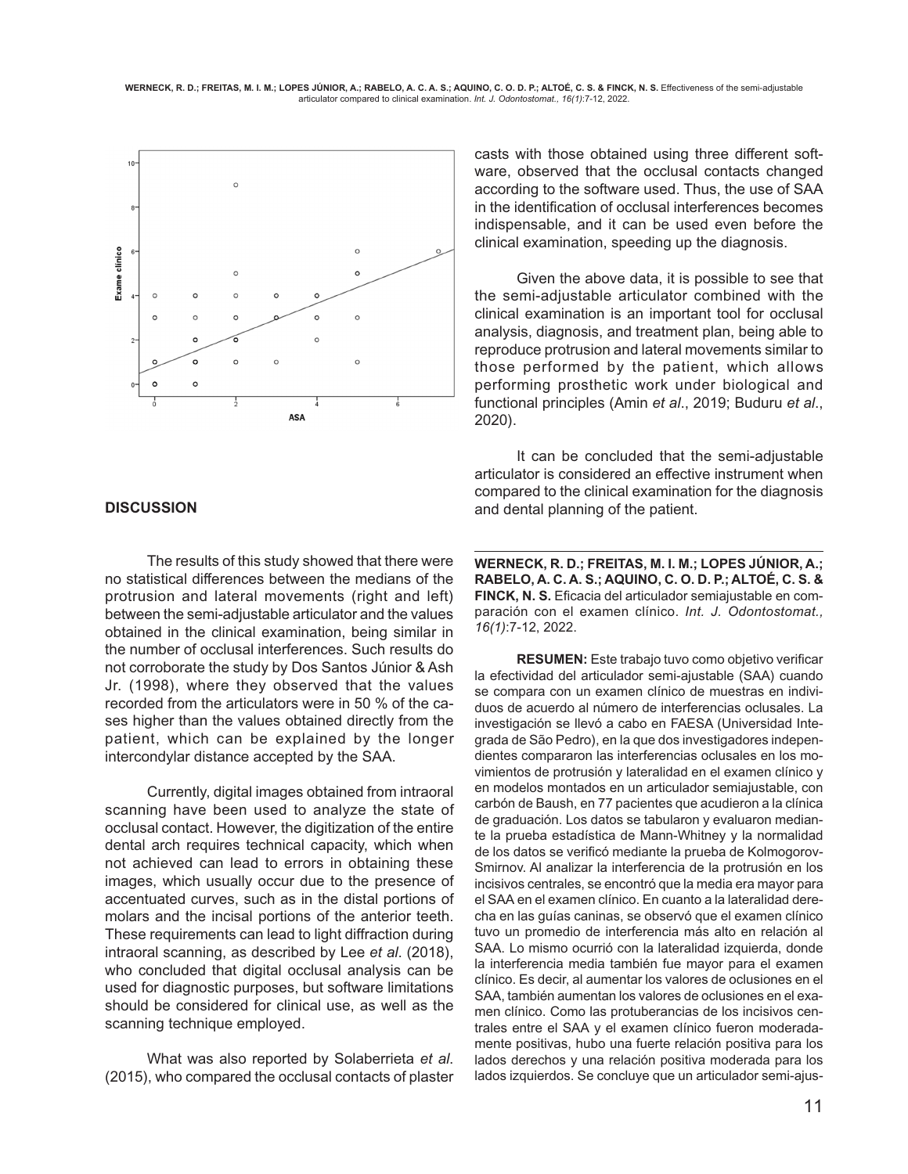

#### **DISCUSSION**

The results of this study showed that there were no statistical differences between the medians of the protrusion and lateral movements (right and left) between the semi-adjustable articulator and the values obtained in the clinical examination, being similar in the number of occlusal interferences. Such results do not corroborate the study by Dos Santos Júnior & Ash Jr. (1998), where they observed that the values recorded from the articulators were in 50 % of the cases higher than the values obtained directly from the patient, which can be explained by the longer intercondylar distance accepted by the SAA.

Currently, digital images obtained from intraoral scanning have been used to analyze the state of occlusal contact. However, the digitization of the entire dental arch requires technical capacity, which when not achieved can lead to errors in obtaining these images, which usually occur due to the presence of accentuated curves, such as in the distal portions of molars and the incisal portions of the anterior teeth. These requirements can lead to light diffraction during intraoral scanning, as described by Lee *et al*. (2018), who concluded that digital occlusal analysis can be used for diagnostic purposes, but software limitations should be considered for clinical use, as well as the scanning technique employed.

What was also reported by Solaberrieta *et al*. (2015), who compared the occlusal contacts of plaster casts with those obtained using three different software, observed that the occlusal contacts changed according to the software used. Thus, the use of SAA in the identification of occlusal interferences becomes indispensable, and it can be used even before the clinical examination, speeding up the diagnosis.

Given the above data, it is possible to see that the semi-adjustable articulator combined with the clinical examination is an important tool for occlusal analysis, diagnosis, and treatment plan, being able to reproduce protrusion and lateral movements similar to those performed by the patient, which allows performing prosthetic work under biological and functional principles (Amin *et al*., 2019; Buduru *et al*., 2020).

It can be concluded that the semi-adjustable articulator is considered an effective instrument when compared to the clinical examination for the diagnosis and dental planning of the patient.

**WERNECK, R. D.; FREITAS, M. I. M.; LOPES JÚNIOR, A.; RABELO, A. C. A. S.; AQUINO, C. O. D. P.; ALTOÉ, C. S. & FINCK, N. S.** Eficacia del articulador semiajustable en comparación con el examen clínico. *Int. J. Odontostomat., 16(1)*:7-12, 2022.

**RESUMEN:** Este trabajo tuvo como objetivo verificar la efectividad del articulador semi-ajustable (SAA) cuando se compara con un examen clínico de muestras en individuos de acuerdo al número de interferencias oclusales. La investigación se llevó a cabo en FAESA (Universidad Integrada de São Pedro), en la que dos investigadores independientes compararon las interferencias oclusales en los movimientos de protrusión y lateralidad en el examen clínico y en modelos montados en un articulador semiajustable, con carbón de Baush, en 77 pacientes que acudieron a la clínica de graduación. Los datos se tabularon y evaluaron mediante la prueba estadística de Mann-Whitney y la normalidad de los datos se verificó mediante la prueba de Kolmogorov-Smirnov. Al analizar la interferencia de la protrusión en los incisivos centrales, se encontró que la media era mayor para el SAA en el examen clínico. En cuanto a la lateralidad derecha en las guías caninas, se observó que el examen clínico tuvo un promedio de interferencia más alto en relación al SAA. Lo mismo ocurrió con la lateralidad izquierda, donde la interferencia media también fue mayor para el examen clínico. Es decir, al aumentar los valores de oclusiones en el SAA, también aumentan los valores de oclusiones en el examen clínico. Como las protuberancias de los incisivos centrales entre el SAA y el examen clínico fueron moderadamente positivas, hubo una fuerte relación positiva para los lados derechos y una relación positiva moderada para los lados izquierdos. Se concluye que un articulador semi-ajus